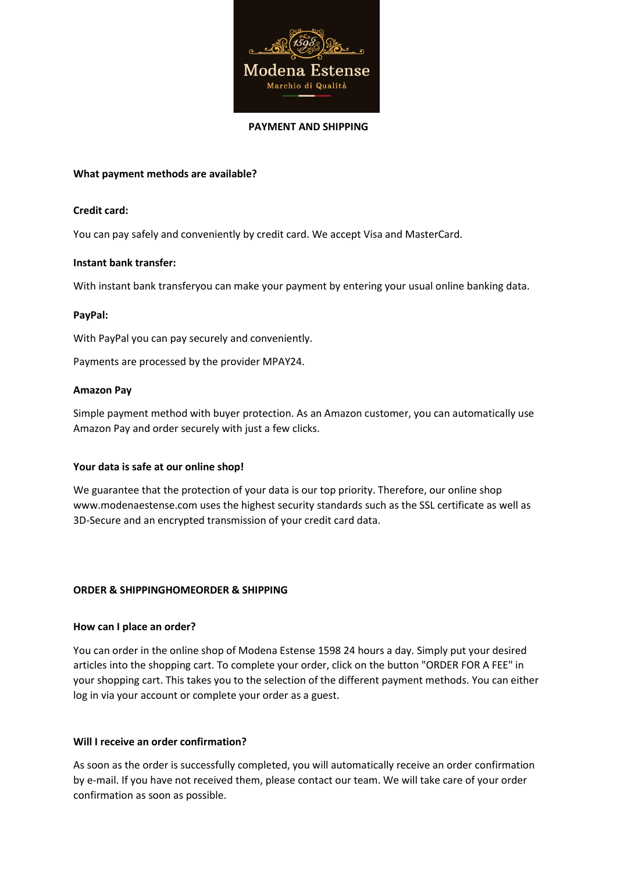

#### **PAYMENT AND SHIPPING**

# **What payment methods are available?**

### **Credit card:**

You can pay safely and conveniently by credit card. We accept Visa and MasterCard.

# **Instant bank transfer:**

With instant bank transferyou can make your payment by entering your usual online banking data.

# **PayPal:**

With PayPal you can pay securely and conveniently.

Payments are processed by the provider MPAY24.

### **Amazon Pay**

Simple payment method with buyer protection. As an Amazon customer, you can automatically use Amazon Pay and order securely with just a few clicks.

# **Your data is safe at our online shop!**

We guarantee that the protection of your data is our top priority. Therefore, our online shop www.modenaestense.com uses the highest security standards such as the SSL certificate as well as 3D-Secure and an encrypted transmission of your credit card data.

# **ORDER & SHIPPINGHOMEORDER & SHIPPING**

#### **How can I place an order?**

You can order in the online shop of Modena Estense 1598 24 hours a day. Simply put your desired articles into the shopping cart. To complete your order, click on the button "ORDER FOR A FEE" in your shopping cart. This takes you to the selection of the different payment methods. You can either log in via your account or complete your order as a guest.

# **Will I receive an order confirmation?**

As soon as the order is successfully completed, you will automatically receive an order confirmation by e-mail. If you have not received them, please contact our team. We will take care of your order confirmation as soon as possible.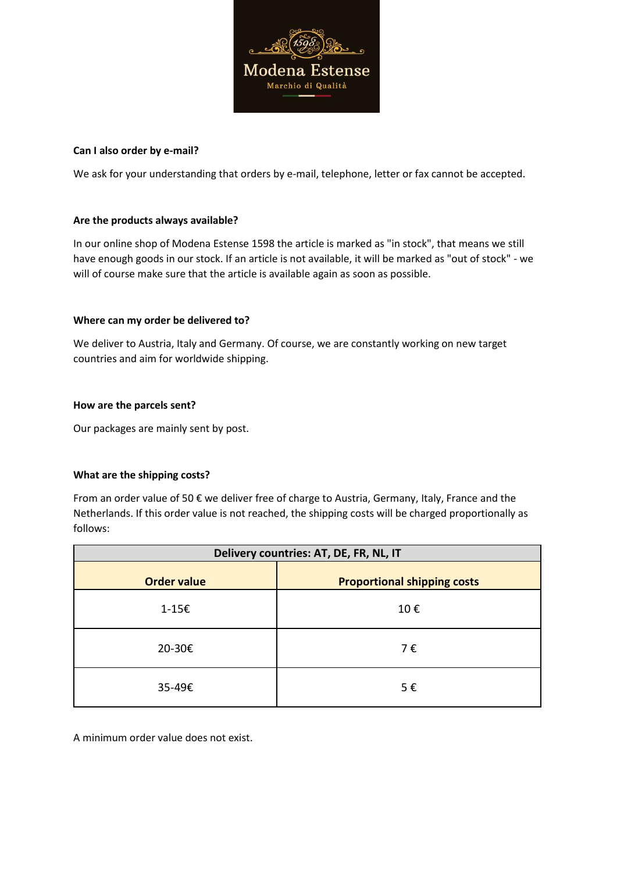

### **Can I also order by e-mail?**

We ask for your understanding that orders by e-mail, telephone, letter or fax cannot be accepted.

# **Are the products always available?**

In our online shop of Modena Estense 1598 the article is marked as "in stock", that means we still have enough goods in our stock. If an article is not available, it will be marked as "out of stock" - we will of course make sure that the article is available again as soon as possible.

### **Where can my order be delivered to?**

We deliver to Austria, Italy and Germany. Of course, we are constantly working on new target countries and aim for worldwide shipping.

### **How are the parcels sent?**

Our packages are mainly sent by post.

# **What are the shipping costs?**

From an order value of 50 € we deliver free of charge to Austria, Germany, Italy, France and the Netherlands. If this order value is not reached, the shipping costs will be charged proportionally as follows:

| Delivery countries: AT, DE, FR, NL, IT |                                    |
|----------------------------------------|------------------------------------|
| <b>Order value</b>                     | <b>Proportional shipping costs</b> |
| 1-15€                                  | 10€                                |
| 20-30€                                 | 7€                                 |
| 35-49€                                 | 5€                                 |

A minimum order value does not exist.